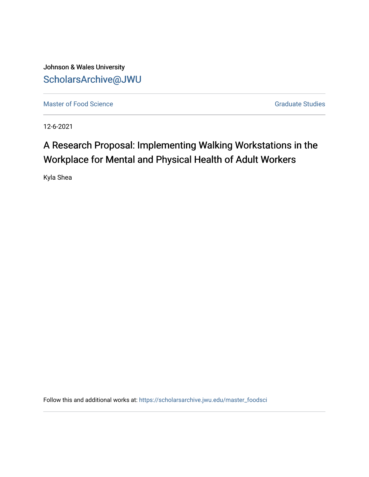Johnson & Wales University [ScholarsArchive@JWU](https://scholarsarchive.jwu.edu/) 

[Master of Food Science](https://scholarsarchive.jwu.edu/master_foodsci) Graduate Studies

12-6-2021

# A Research Proposal: Implementing Walking Workstations in the Workplace for Mental and Physical Health of Adult Workers

Kyla Shea

Follow this and additional works at: [https://scholarsarchive.jwu.edu/master\\_foodsci](https://scholarsarchive.jwu.edu/master_foodsci?utm_source=scholarsarchive.jwu.edu%2Fmaster_foodsci%2F1&utm_medium=PDF&utm_campaign=PDFCoverPages)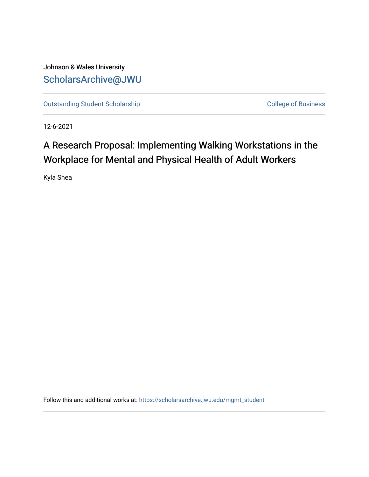Johnson & Wales University [ScholarsArchive@JWU](https://scholarsarchive.jwu.edu/) 

[Outstanding Student Scholarship](https://scholarsarchive.jwu.edu/mgmt_student) College of Business

12-6-2021

# A Research Proposal: Implementing Walking Workstations in the Workplace for Mental and Physical Health of Adult Workers

Kyla Shea

Follow this and additional works at: [https://scholarsarchive.jwu.edu/mgmt\\_student](https://scholarsarchive.jwu.edu/mgmt_student?utm_source=scholarsarchive.jwu.edu%2Fmgmt_student%2F9&utm_medium=PDF&utm_campaign=PDFCoverPages)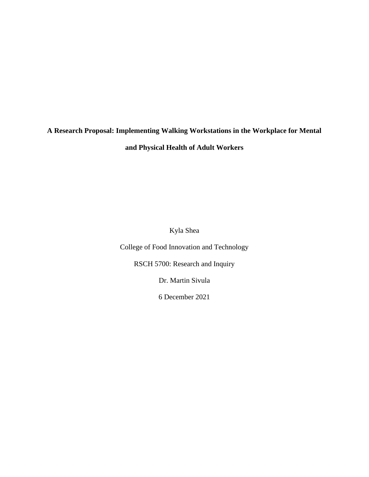## **A Research Proposal: Implementing Walking Workstations in the Workplace for Mental and Physical Health of Adult Workers**

Kyla Shea

College of Food Innovation and Technology

RSCH 5700: Research and Inquiry

Dr. Martin Sivula

6 December 2021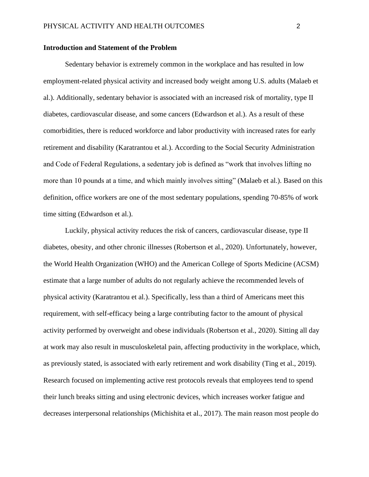## **Introduction and Statement of the Problem**

Sedentary behavior is extremely common in the workplace and has resulted in low employment-related physical activity and increased body weight among U.S. adults (Malaeb et al.). Additionally, sedentary behavior is associated with an increased risk of mortality, type II diabetes, cardiovascular disease, and some cancers (Edwardson et al.). As a result of these comorbidities, there is reduced workforce and labor productivity with increased rates for early retirement and disability (Karatrantou et al.). According to the Social Security Administration and Code of Federal Regulations, a sedentary job is defined as "work that involves lifting no more than 10 pounds at a time, and which mainly involves sitting" (Malaeb et al.). Based on this definition, office workers are one of the most sedentary populations, spending 70-85% of work time sitting (Edwardson et al.).

Luckily, physical activity reduces the risk of cancers, cardiovascular disease, type II diabetes, obesity, and other chronic illnesses (Robertson et al., 2020). Unfortunately, however, the World Health Organization (WHO) and the American College of Sports Medicine (ACSM) estimate that a large number of adults do not regularly achieve the recommended levels of physical activity (Karatrantou et al.). Specifically, less than a third of Americans meet this requirement, with self-efficacy being a large contributing factor to the amount of physical activity performed by overweight and obese individuals (Robertson et al., 2020). Sitting all day at work may also result in musculoskeletal pain, affecting productivity in the workplace, which, as previously stated, is associated with early retirement and work disability (Ting et al., 2019). Research focused on implementing active rest protocols reveals that employees tend to spend their lunch breaks sitting and using electronic devices, which increases worker fatigue and decreases interpersonal relationships (Michishita et al., 2017). The main reason most people do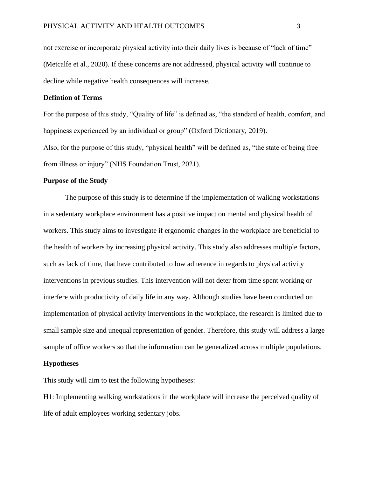not exercise or incorporate physical activity into their daily lives is because of "lack of time" (Metcalfe et al., 2020). If these concerns are not addressed, physical activity will continue to decline while negative health consequences will increase.

## **Defintion of Terms**

For the purpose of this study, "Quality of life" is defined as, "the standard of health, comfort, and happiness experienced by an individual or group" (Oxford Dictionary, 2019).

Also, for the purpose of this study, "physical health" will be defined as, "the state of being free from illness or injury" (NHS Foundation Trust, 2021).

## **Purpose of the Study**

The purpose of this study is to determine if the implementation of walking workstations in a sedentary workplace environment has a positive impact on mental and physical health of workers. This study aims to investigate if ergonomic changes in the workplace are beneficial to the health of workers by increasing physical activity. This study also addresses multiple factors, such as lack of time, that have contributed to low adherence in regards to physical activity interventions in previous studies. This intervention will not deter from time spent working or interfere with productivity of daily life in any way. Although studies have been conducted on implementation of physical activity interventions in the workplace, the research is limited due to small sample size and unequal representation of gender. Therefore, this study will address a large sample of office workers so that the information can be generalized across multiple populations.

## **Hypotheses**

This study will aim to test the following hypotheses:

H1: Implementing walking workstations in the workplace will increase the perceived quality of life of adult employees working sedentary jobs.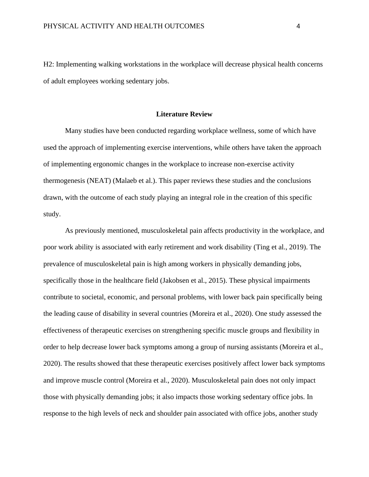H2: Implementing walking workstations in the workplace will decrease physical health concerns of adult employees working sedentary jobs.

### **Literature Review**

Many studies have been conducted regarding workplace wellness, some of which have used the approach of implementing exercise interventions, while others have taken the approach of implementing ergonomic changes in the workplace to increase non-exercise activity thermogenesis (NEAT) (Malaeb et al.). This paper reviews these studies and the conclusions drawn, with the outcome of each study playing an integral role in the creation of this specific study.

As previously mentioned, musculoskeletal pain affects productivity in the workplace, and poor work ability is associated with early retirement and work disability (Ting et al., 2019). The prevalence of musculoskeletal pain is high among workers in physically demanding jobs, specifically those in the healthcare field (Jakobsen et al., 2015). These physical impairments contribute to societal, economic, and personal problems, with lower back pain specifically being the leading cause of disability in several countries (Moreira et al., 2020). One study assessed the effectiveness of therapeutic exercises on strengthening specific muscle groups and flexibility in order to help decrease lower back symptoms among a group of nursing assistants (Moreira et al., 2020). The results showed that these therapeutic exercises positively affect lower back symptoms and improve muscle control (Moreira et al., 2020). Musculoskeletal pain does not only impact those with physically demanding jobs; it also impacts those working sedentary office jobs. In response to the high levels of neck and shoulder pain associated with office jobs, another study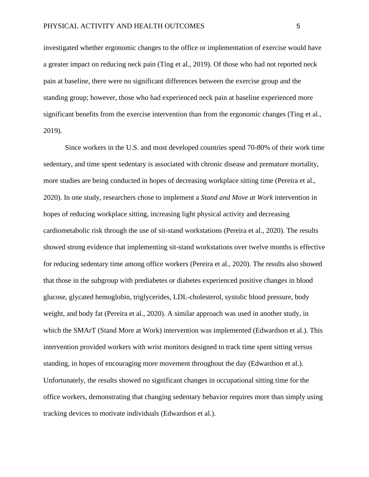investigated whether ergonomic changes to the office or implementation of exercise would have a greater impact on reducing neck pain (Ting et al., 2019). Of those who had not reported neck pain at baseline, there were no significant differences between the exercise group and the standing group; however, those who had experienced neck pain at baseline experienced more significant benefits from the exercise intervention than from the ergonomic changes (Ting et al., 2019).

Since workers in the U.S. and most developed countries spend 70-80% of their work time sedentary, and time spent sedentary is associated with chronic disease and premature mortality, more studies are being conducted in hopes of decreasing workplace sitting time (Pereira et al., 2020). In one study, researchers chose to implement a *Stand and Move at Work* intervention in hopes of reducing workplace sitting, increasing light physical activity and decreasing cardiometabolic risk through the use of sit-stand workstations (Pereira et al., 2020). The results showed strong evidence that implementing sit-stand workstations over twelve months is effective for reducing sedentary time among office workers (Pereira et al., 2020). The results also showed that those in the subgroup with prediabetes or diabetes experienced positive changes in blood glucose, glycated hemoglobin, triglycerides, LDL-cholesterol, systolic blood pressure, body weight, and body fat (Pereira et al., 2020). A similar approach was used in another study, in which the SMArT (Stand More at Work) intervention was implemented (Edwardson et al.). This intervention provided workers with wrist monitors designed to track time spent sitting versus standing, in hopes of encouraging more movement throughout the day (Edwardson et al.). Unfortunately, the results showed no significant changes in occupational sitting time for the office workers, demonstrating that changing sedentary behavior requires more than simply using tracking devices to motivate individuals (Edwardson et al.).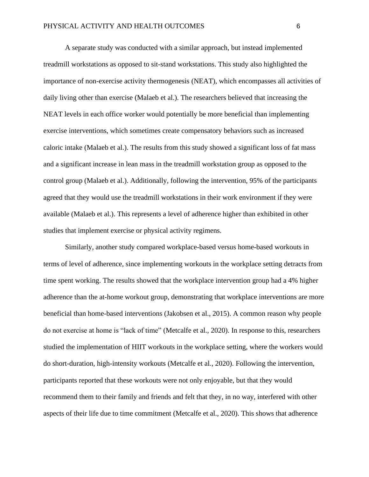A separate study was conducted with a similar approach, but instead implemented treadmill workstations as opposed to sit-stand workstations. This study also highlighted the importance of non-exercise activity thermogenesis (NEAT), which encompasses all activities of daily living other than exercise (Malaeb et al.). The researchers believed that increasing the NEAT levels in each office worker would potentially be more beneficial than implementing exercise interventions, which sometimes create compensatory behaviors such as increased caloric intake (Malaeb et al.). The results from this study showed a significant loss of fat mass and a significant increase in lean mass in the treadmill workstation group as opposed to the control group (Malaeb et al.). Additionally, following the intervention, 95% of the participants agreed that they would use the treadmill workstations in their work environment if they were available (Malaeb et al.). This represents a level of adherence higher than exhibited in other studies that implement exercise or physical activity regimens.

Similarly, another study compared workplace-based versus home-based workouts in terms of level of adherence, since implementing workouts in the workplace setting detracts from time spent working. The results showed that the workplace intervention group had a 4% higher adherence than the at-home workout group, demonstrating that workplace interventions are more beneficial than home-based interventions (Jakobsen et al., 2015). A common reason why people do not exercise at home is "lack of time" (Metcalfe et al., 2020). In response to this, researchers studied the implementation of HIIT workouts in the workplace setting, where the workers would do short-duration, high-intensity workouts (Metcalfe et al., 2020). Following the intervention, participants reported that these workouts were not only enjoyable, but that they would recommend them to their family and friends and felt that they, in no way, interfered with other aspects of their life due to time commitment (Metcalfe et al., 2020). This shows that adherence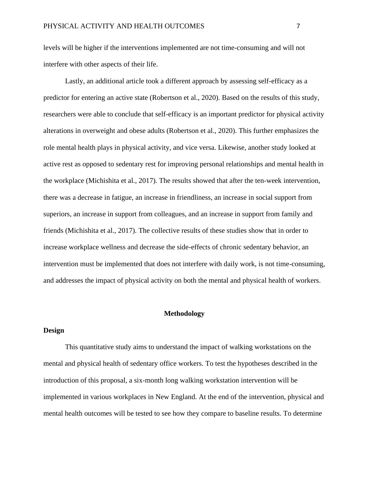levels will be higher if the interventions implemented are not time-consuming and will not interfere with other aspects of their life.

Lastly, an additional article took a different approach by assessing self-efficacy as a predictor for entering an active state (Robertson et al., 2020). Based on the results of this study, researchers were able to conclude that self-efficacy is an important predictor for physical activity alterations in overweight and obese adults (Robertson et al., 2020). This further emphasizes the role mental health plays in physical activity, and vice versa. Likewise, another study looked at active rest as opposed to sedentary rest for improving personal relationships and mental health in the workplace (Michishita et al., 2017). The results showed that after the ten-week intervention, there was a decrease in fatigue, an increase in friendliness, an increase in social support from superiors, an increase in support from colleagues, and an increase in support from family and friends (Michishita et al., 2017). The collective results of these studies show that in order to increase workplace wellness and decrease the side-effects of chronic sedentary behavior, an intervention must be implemented that does not interfere with daily work, is not time-consuming, and addresses the impact of physical activity on both the mental and physical health of workers.

## **Methodology**

## **Design**

This quantitative study aims to understand the impact of walking workstations on the mental and physical health of sedentary office workers. To test the hypotheses described in the introduction of this proposal, a six-month long walking workstation intervention will be implemented in various workplaces in New England. At the end of the intervention, physical and mental health outcomes will be tested to see how they compare to baseline results. To determine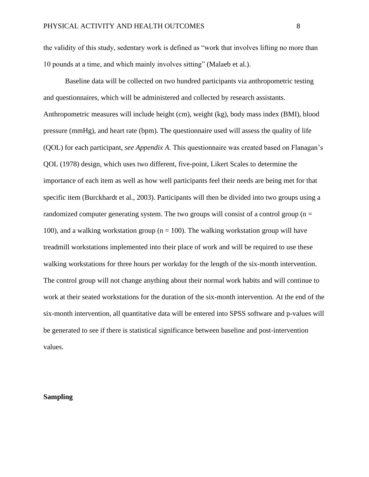the validity of this study, sedentary work is defined as "work that involves lifting no more than 10 pounds at a time, and which mainly involves sitting" (Malaeb et al.).

Baseline data will be collected on two hundred participants via anthropometric testing and questionnaires, which will be administered and collected by research assistants. Anthropometric measures will include height (cm), weight (kg), body mass index (BMI), blood pressure (mmHg), and heart rate (bpm). The questionnaire used will assess the quality of life (QOL) for each participant, *see Appendix A*. This questionnaire was created based on Flanagan's QOL (1978) design, which uses two different, five-point, Likert Scales to determine the importance of each item as well as how well participants feel their needs are being met for that specific item (Burckhardt et al., 2003). Participants will then be divided into two groups using a randomized computer generating system. The two groups will consist of a control group ( $n =$ 100), and a walking workstation group ( $n = 100$ ). The walking workstation group will have treadmill workstations implemented into their place of work and will be required to use these walking workstations for three hours per workday for the length of the six-month intervention. The control group will not change anything about their normal work habits and will continue to work at their seated workstations for the duration of the six-month intervention. At the end of the six-month intervention, all quantitative data will be entered into SPSS software and p-values will be generated to see if there is statistical significance between baseline and post-intervention values.

## **Sampling**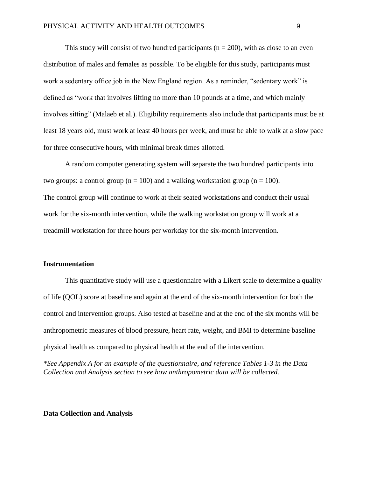This study will consist of two hundred participants ( $n = 200$ ), with as close to an even distribution of males and females as possible. To be eligible for this study, participants must work a sedentary office job in the New England region. As a reminder, "sedentary work" is defined as "work that involves lifting no more than 10 pounds at a time, and which mainly involves sitting" (Malaeb et al.). Eligibility requirements also include that participants must be at least 18 years old, must work at least 40 hours per week, and must be able to walk at a slow pace for three consecutive hours, with minimal break times allotted.

A random computer generating system will separate the two hundred participants into two groups: a control group ( $n = 100$ ) and a walking workstation group ( $n = 100$ ). The control group will continue to work at their seated workstations and conduct their usual work for the six-month intervention, while the walking workstation group will work at a treadmill workstation for three hours per workday for the six-month intervention.

## **Instrumentation**

This quantitative study will use a questionnaire with a Likert scale to determine a quality of life (QOL) score at baseline and again at the end of the six-month intervention for both the control and intervention groups. Also tested at baseline and at the end of the six months will be anthropometric measures of blood pressure, heart rate, weight, and BMI to determine baseline physical health as compared to physical health at the end of the intervention.

*\*See Appendix A for an example of the questionnaire, and reference Tables 1-3 in the Data Collection and Analysis section to see how anthropometric data will be collected.*

## **Data Collection and Analysis**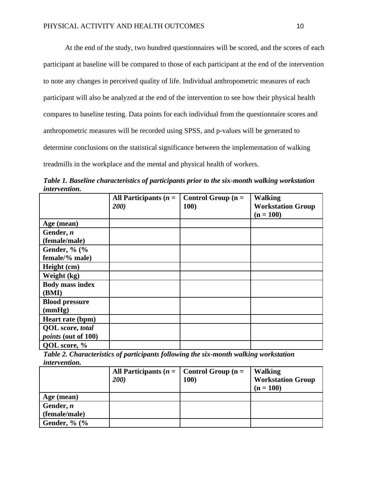At the end of the study, two hundred questionnaires will be scored, and the scores of each participant at baseline will be compared to those of each participant at the end of the intervention to note any changes in perceived quality of life. Individual anthropometric measures of each participant will also be analyzed at the end of the intervention to see how their physical health compares to baseline testing. Data points for each individual from the questionnaire scores and anthropometric measures will be recorded using SPSS, and p-values will be generated to determine conclusions on the statistical significance between the implementation of walking treadmills in the workplace and the mental and physical health of workers.

|                      | Table 1. Baseline characteristics of participants prior to the six-month walking workstation |  |
|----------------------|----------------------------------------------------------------------------------------------|--|
| <i>intervention.</i> |                                                                                              |  |
|                      |                                                                                              |  |

|                            | All Participants $(n =$ | Control Group $(n =$ | <b>Walking</b>           |  |  |
|----------------------------|-------------------------|----------------------|--------------------------|--|--|
|                            | 200)                    | <b>100)</b>          | <b>Workstation Group</b> |  |  |
|                            |                         |                      | $(n = 100)$              |  |  |
| Age (mean)                 |                         |                      |                          |  |  |
| Gender, $n$                |                         |                      |                          |  |  |
| (female/male)              |                         |                      |                          |  |  |
| Gender, % (%               |                         |                      |                          |  |  |
| female/% male)             |                         |                      |                          |  |  |
| Height (cm)                |                         |                      |                          |  |  |
| Weight (kg)                |                         |                      |                          |  |  |
| <b>Body mass index</b>     |                         |                      |                          |  |  |
| (BMI)                      |                         |                      |                          |  |  |
| <b>Blood pressure</b>      |                         |                      |                          |  |  |
| (mmHg)                     |                         |                      |                          |  |  |
| Heart rate (bpm)           |                         |                      |                          |  |  |
| <b>QOL</b> score, total    |                         |                      |                          |  |  |
| <i>points</i> (out of 100) |                         |                      |                          |  |  |
| QOL score, %               |                         |                      |                          |  |  |

*Table 2. Characteristics of participants following the six-month walking workstation intervention.*

|                     | All Participants ( $n =$   Control Group ( $n =$ |            | <b>Walking</b>                          |
|---------------------|--------------------------------------------------|------------|-----------------------------------------|
|                     | 200)                                             | <b>100</b> | <b>Workstation Group</b><br>$(n = 100)$ |
|                     |                                                  |            |                                         |
| Age (mean)          |                                                  |            |                                         |
| Gender, $n$         |                                                  |            |                                         |
| (female/male)       |                                                  |            |                                         |
| Gender, $\%$ ( $\%$ |                                                  |            |                                         |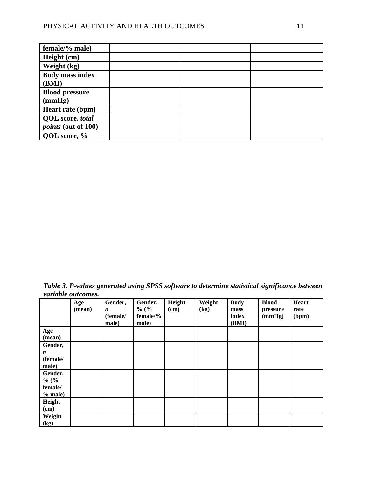| female/% male)             |  |  |
|----------------------------|--|--|
| Height (cm)                |  |  |
| Weight (kg)                |  |  |
| <b>Body mass index</b>     |  |  |
| (BMI)                      |  |  |
| <b>Blood pressure</b>      |  |  |
| (mmHg)                     |  |  |
| Heart rate (bpm)           |  |  |
| <b>QOL</b> score, total    |  |  |
| <i>points</i> (out of 100) |  |  |
| QOL score, %               |  |  |

*Table 3. P-values generated using SPSS software to determine statistical significance between variable outcomes.*

|                  | Age<br>(mean) | Gender,<br>$\boldsymbol{n}$<br>(female/ | Gender,<br>$\%$ (%<br>female/% | Height<br>$(cm)$ | Weight<br>$\left(\text{kg}\right)$ | <b>Body</b><br>mass<br>index | <b>Blood</b><br>pressure<br>(mmHg) | Heart<br>rate<br>(bpm) |
|------------------|---------------|-----------------------------------------|--------------------------------|------------------|------------------------------------|------------------------------|------------------------------------|------------------------|
|                  |               | male)                                   | male)                          |                  |                                    | (BMI)                        |                                    |                        |
| Age              |               |                                         |                                |                  |                                    |                              |                                    |                        |
| (mean)           |               |                                         |                                |                  |                                    |                              |                                    |                        |
| Gender,          |               |                                         |                                |                  |                                    |                              |                                    |                        |
| $\boldsymbol{n}$ |               |                                         |                                |                  |                                    |                              |                                    |                        |
| (female/         |               |                                         |                                |                  |                                    |                              |                                    |                        |
| male)            |               |                                         |                                |                  |                                    |                              |                                    |                        |
| Gender,          |               |                                         |                                |                  |                                    |                              |                                    |                        |
| $\%$ (%          |               |                                         |                                |                  |                                    |                              |                                    |                        |
| female/          |               |                                         |                                |                  |                                    |                              |                                    |                        |
| $%$ male)        |               |                                         |                                |                  |                                    |                              |                                    |                        |
| Height           |               |                                         |                                |                  |                                    |                              |                                    |                        |
| (cm)             |               |                                         |                                |                  |                                    |                              |                                    |                        |
| Weight           |               |                                         |                                |                  |                                    |                              |                                    |                        |
| (kg)             |               |                                         |                                |                  |                                    |                              |                                    |                        |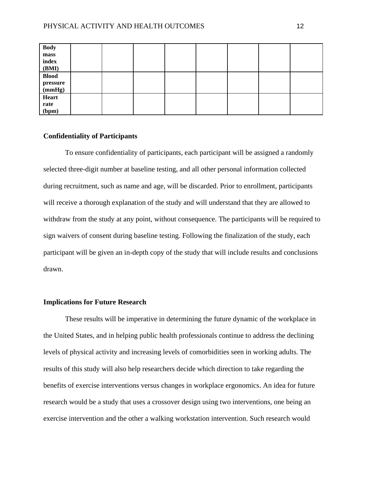| <b>Body</b>  |  |  |  |  |
|--------------|--|--|--|--|
| ${\bf mass}$ |  |  |  |  |
| index        |  |  |  |  |
| (BMI)        |  |  |  |  |
| <b>Blood</b> |  |  |  |  |
| pressure     |  |  |  |  |
| (mmHg)       |  |  |  |  |
| <b>Heart</b> |  |  |  |  |
| rate         |  |  |  |  |
| (bpm)        |  |  |  |  |

## **Confidentiality of Participants**

To ensure confidentiality of participants, each participant will be assigned a randomly selected three-digit number at baseline testing, and all other personal information collected during recruitment, such as name and age, will be discarded. Prior to enrollment, participants will receive a thorough explanation of the study and will understand that they are allowed to withdraw from the study at any point, without consequence. The participants will be required to sign waivers of consent during baseline testing. Following the finalization of the study, each participant will be given an in-depth copy of the study that will include results and conclusions drawn.

## **Implications for Future Research**

These results will be imperative in determining the future dynamic of the workplace in the United States, and in helping public health professionals continue to address the declining levels of physical activity and increasing levels of comorbidities seen in working adults. The results of this study will also help researchers decide which direction to take regarding the benefits of exercise interventions versus changes in workplace ergonomics. An idea for future research would be a study that uses a crossover design using two interventions, one being an exercise intervention and the other a walking workstation intervention. Such research would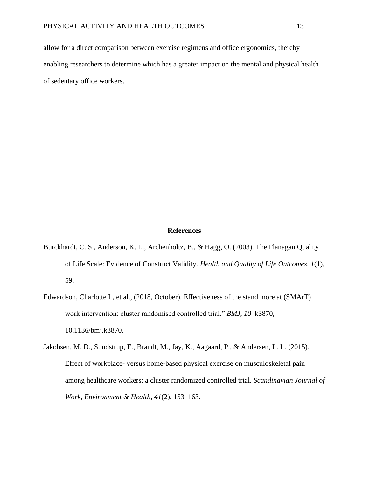allow for a direct comparison between exercise regimens and office ergonomics, thereby enabling researchers to determine which has a greater impact on the mental and physical health of sedentary office workers.

#### **References**

- Burckhardt, C. S., Anderson, K. L., Archenholtz, B., & Hägg, O. (2003). The Flanagan Quality of Life Scale: Evidence of Construct Validity. *Health and Quality of Life Outcomes*, *1*(1), 59.
- Edwardson, Charlotte L, et al., (2018, October). Effectiveness of the stand more at (SMArT) work intervention: cluster randomised controlled trial." *BMJ*, *10* k3870, 10.1136/bmj.k3870.
- Jakobsen, M. D., Sundstrup, E., Brandt, M., Jay, K., Aagaard, P., & Andersen, L. L. (2015). Effect of workplace- versus home-based physical exercise on musculoskeletal pain among healthcare workers: a cluster randomized controlled trial. *Scandinavian Journal of Work, Environment & Health*, *41*(2), 153–163.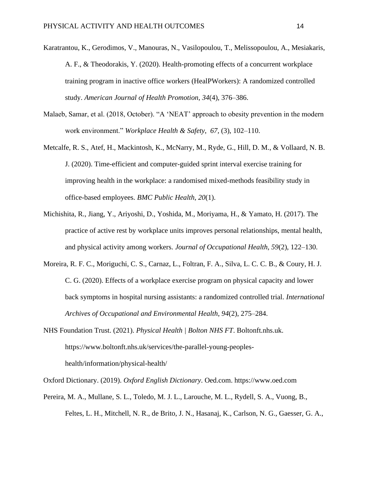- Karatrantou, K., Gerodimos, V., Manouras, N., Vasilopoulou, T., Melissopoulou, A., Mesiakaris, A. F., & Theodorakis, Y. (2020). Health-promoting effects of a concurrent workplace training program in inactive office workers (HealPWorkers): A randomized controlled study. *American Journal of Health Promotion*, *34*(4), 376–386.
- Malaeb, Samar, et al. (2018, October). "A 'NEAT' approach to obesity prevention in the modern work environment." *Workplace Health & Safety*, *67,* (3), 102–110.
- Metcalfe, R. S., Atef, H., Mackintosh, K., McNarry, M., Ryde, G., Hill, D. M., & Vollaard, N. B. J. (2020). Time-efficient and computer-guided sprint interval exercise training for improving health in the workplace: a randomised mixed-methods feasibility study in office-based employees. *BMC Public Health*, *20*(1).
- Michishita, R., Jiang, Y., Ariyoshi, D., Yoshida, M., Moriyama, H., & Yamato, H. (2017). The practice of active rest by workplace units improves personal relationships, mental health, and physical activity among workers. *Journal of Occupational Health*, *59*(2), 122–130.
- Moreira, R. F. C., Moriguchi, C. S., Carnaz, L., Foltran, F. A., Silva, L. C. C. B., & Coury, H. J. C. G. (2020). Effects of a workplace exercise program on physical capacity and lower back symptoms in hospital nursing assistants: a randomized controlled trial. *International Archives of Occupational and Environmental Health*, *94*(2), 275–284.
- NHS Foundation Trust. (2021). *Physical Health | Bolton NHS FT*. Boltonft.nhs.uk. https://www.boltonft.nhs.uk/services/the-parallel-young-peopleshealth/information/physical-health/

Oxford Dictionary. (2019). *Oxford English Dictionary*. Oed.com. https://www.oed.com

Pereira, M. A., Mullane, S. L., Toledo, M. J. L., Larouche, M. L., Rydell, S. A., Vuong, B., Feltes, L. H., Mitchell, N. R., de Brito, J. N., Hasanaj, K., Carlson, N. G., Gaesser, G. A.,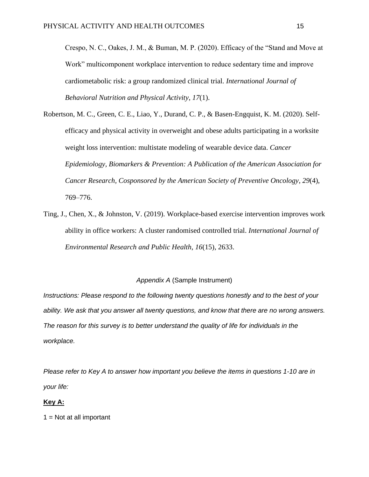Crespo, N. C., Oakes, J. M., & Buman, M. P. (2020). Efficacy of the "Stand and Move at Work" multicomponent workplace intervention to reduce sedentary time and improve cardiometabolic risk: a group randomized clinical trial. *International Journal of Behavioral Nutrition and Physical Activity*, *17*(1).

- Robertson, M. C., Green, C. E., Liao, Y., Durand, C. P., & Basen-Engquist, K. M. (2020). Selfefficacy and physical activity in overweight and obese adults participating in a worksite weight loss intervention: multistate modeling of wearable device data. *Cancer Epidemiology, Biomarkers & Prevention: A Publication of the American Association for Cancer Research, Cosponsored by the American Society of Preventive Oncology*, *29*(4), 769–776.
- Ting, J., Chen, X., & Johnston, V. (2019). Workplace-based exercise intervention improves work ability in office workers: A cluster randomised controlled trial. *International Journal of Environmental Research and Public Health*, *16*(15), 2633.

## *Appendix A* (Sample Instrument)

*Instructions: Please respond to the following twenty questions honestly and to the best of your ability. We ask that you answer all twenty questions, and know that there are no wrong answers. The reason for this survey is to better understand the quality of life for individuals in the workplace.* 

*Please refer to Key A to answer how important you believe the items in questions 1-10 are in your life:*

### **Key A:**

 $1 = Not$  at all important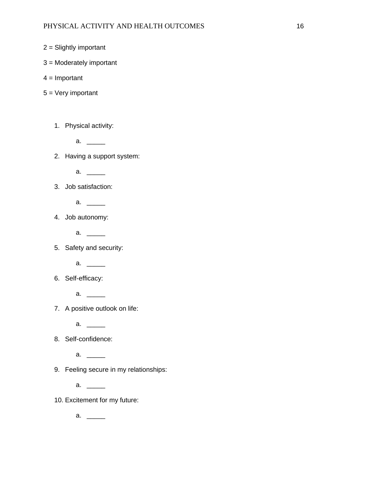- 2 = Slightly important
- 3 = Moderately important
- $4 =$  Important
- 5 = Very important
	- 1. Physical activity:
		- a.  $\qquad \qquad$
	- 2. Having a support system:
		- a.  $\qquad \qquad$

3. Job satisfaction:

- $a.$  \_\_\_\_\_\_\_\_
- 4. Job autonomy:
	- $a. \underline{\hspace{1cm}}$
- 5. Safety and security:
	- a.  $\qquad$
- 6. Self-efficacy:
	- a.  $\qquad \qquad$
- 7. A positive outlook on life:
	- a. \_\_\_\_\_
- 8. Self-confidence:
	- a.  $\qquad$
- 9. Feeling secure in my relationships:
	- a.  $\qquad$
- 10. Excitement for my future:
	- a.  $\_\_$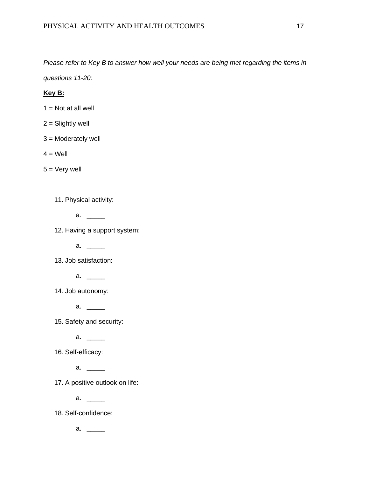*Please refer to Key B to answer how well your needs are being met regarding the items in* 

*questions 11-20:*

## **Key B:**

- $1 = Not$  at all well
- $2 =$  Slightly well
- 3 = Moderately well
- $4 = Well$

 $5 =$  Very well

11. Physical activity:

a.  $\qquad \qquad$ 

12. Having a support system:

a.  $\qquad \qquad$ 

13. Job satisfaction:

- a.  $\qquad \qquad$
- 14. Job autonomy:
	- a.  $\qquad \qquad$

15. Safety and security:

- a.  $\qquad \qquad$
- 16. Self-efficacy:
	- a.  $\qquad \qquad$

17. A positive outlook on life:

a.  $\qquad$ 

18. Self-confidence:

a. \_\_\_\_\_